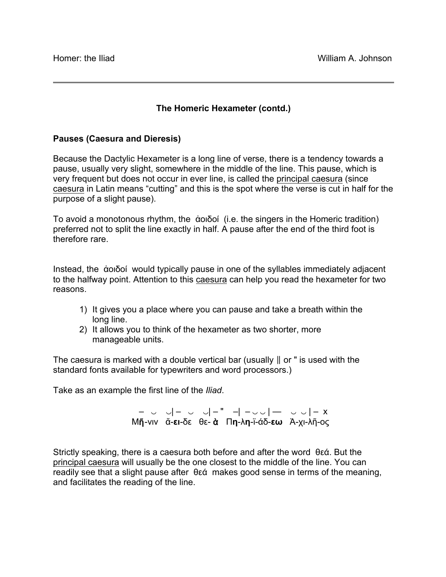## **The Homeric Hexameter (contd.)**

## **Pauses (Caesura and Dieresis)**

Because the Dactylic Hexameter is a long line of verse, there is a tendency towards a pause, usually very slight, somewhere in the middle of the line. This pause, which is very frequent but does not occur in ever line, is called the principal caesura (since caesura in Latin means "cutting" and this is the spot where the verse is cut in half for the purpose of a slight pause).

To avoid a monotonous rhythm, the ἀοιδοί (i.e. the singers in the Homeric tradition) preferred not to split the line exactly in half. A pause after the end of the third foot is therefore rare.

Instead, the ἀοιδοί would typically pause in one of the syllables immediately adjacent to the halfway point. Attention to this caesura can help you read the hexameter for two reasons.

- 1) It gives you a place where you can pause and take a breath within the long line.
- 2) It allows you to think of the hexameter as two shorter, more manageable units.

The caesura is marked with a double vertical bar (usually  $\parallel$  or " is used with the standard fonts available for typewriters and word processors.)

Take as an example the first line of the *Iliad*.

 – ‿ ‿| – ‿ ‿| – " –| – ‿ ‿ | — ‿ ‿ | – x Μῆ-νιν ἄ-**ει**-δε θε- ὰ Π**η**-λ**η**-ϊ-άδ-**εω** Ἀ-χι-λῆ-ος

Strictly speaking, there is a caesura both before and after the word θεά. But the principal caesura will usually be the one closest to the middle of the line. You can readily see that a slight pause after θεά makes good sense in terms of the meaning, and facilitates the reading of the line.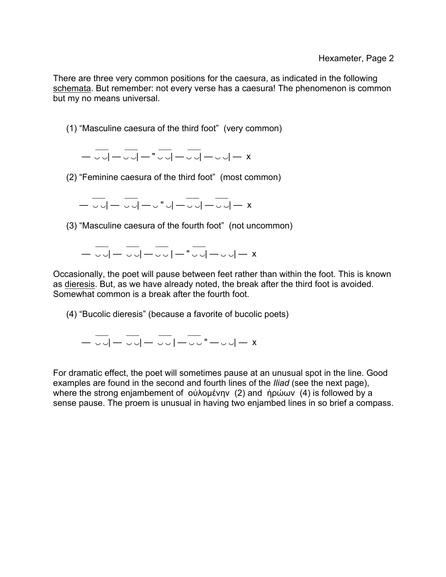There are three very common positions for the caesura, as indicated in the following schemata. But remember: not every verse has a caesura! The phenomenon is common but my no means universal.

(1) "Masculine caesura of the third foot" (very common)

 $\frac{1}{2}$  ,  $\frac{1}{2}$  ,  $\frac{1}{2}$  ,  $\frac{1}{2}$  ,  $\frac{1}{2}$  ,  $\frac{1}{2}$  ,  $\frac{1}{2}$  ,  $\frac{1}{2}$ — ◡◡| — ◡◡| — "◡◡| — ◡◡| — ◡◡| — x

(2) "Feminine caesura of the third foot" (most common)

 $\mathcal{L}=\mathcal{L}$  , we have a set of the set of the set of the set of the set of the set of the set of the set of the set of the set of the set of the set of the set of the set of the set of the set of the set of the set of — ◡◡│— ◡◡│—◡ "◡│—◡◡│—◡◡│— x

(3) "Masculine caesura of the fourth foot" (not uncommon)

 $\mathcal{L}=\mathcal{L}=\mathcal{L}$  , where  $\mathcal{L}=\mathcal{L}=\mathcal{L}$  , we have the set of  $\mathcal{L}=\mathcal{L}$ — ‿ ‿| — ‿ ‿| — ‿ ‿ | — " ‿ ‿| — ‿ ‿| — x

Occasionally, the poet will pause between feet rather than within the foot. This is known as dieresis. But, as we have already noted, the break after the third foot is avoided. Somewhat common is a break after the fourth foot.

(4) "Bucolic dieresis" (because a favorite of bucolic poets)

 $\mathcal{L}=\{L_1,\ldots,L_n\}$  , we can also the set of  $L_1$ — ◡◡│— ◡◡│— ◡◡│—◡◡" —◡◡│— x

For dramatic effect, the poet will sometimes pause at an unusual spot in the line. Good examples are found in the second and fourth lines of the *Iliad* (see the next page), where the strong enjambement of οὐλοµένην (2) and ἡρώων (4) is followed by a sense pause. The proem is unusual in having two enjambed lines in so brief a compass.